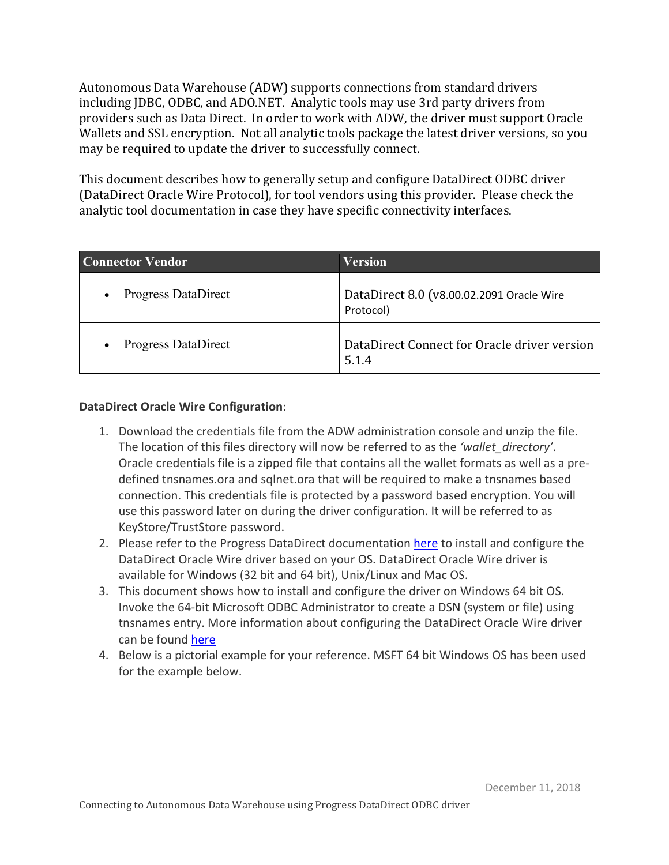Autonomous Data Warehouse (ADW) supports connections from standard drivers including JDBC, ODBC, and ADO.NET. Analytic tools may use 3rd party drivers from providers such as Data Direct. In order to work with ADW, the driver must support Oracle may be required to update the driver to successfully connect. Wallets and SSL encryption. Not all analytic tools package the latest driver versions, so you

 This document describes how to generally setup and configure DataDirect ODBC driver (DataDirect Oracle Wire Protocol), for tool vendors using this provider. Please check the analytic tool documentation in case they have specific connectivity interfaces.

| <b>Connector Vendor</b>    | <b>Version</b>                                         |
|----------------------------|--------------------------------------------------------|
| <b>Progress DataDirect</b> | DataDirect 8.0 (v8.00.02.2091 Oracle Wire<br>Protocol) |
| <b>Progress DataDirect</b> | DataDirect Connect for Oracle driver version<br>5.1.4  |

## **DataDirect Oracle Wire Configuration**:

- 1. Download the credentials file from the ADW administration console and unzip the file. The location of this files directory will now be referred to as the *'wallet\_directory'*. Oracle credentials file is a zipped file that contains all the wallet formats as well as a pre- defined tnsnames.ora and sqlnet.ora that will be required to make a tnsnames based connection. This credentials file is protected by a password based encryption. You will use this password later on during the driver configuration. It will be referred to as KeyStore/TrustStore password.
- 2. Please refer to the Progress DataDirect documentation here to install and configure the DataDirect Oracle Wire driver based on your OS. DataDirect Oracle Wire driver is available for Windows (32 bit and 64 bit), Unix/Linux and Mac OS.
- 3. This document shows how to install and configure the driver on Windows 64 bit OS. Invoke the 64-bit Microsoft ODBC Administrator to create a DSN (system or file) using tnsnames entry. More information about configuring the DataDirect Oracle Wire driver can be found here
- 4. Below is a pictorial example for your reference. MSFT 64 bit Windows OS has been used for the example below.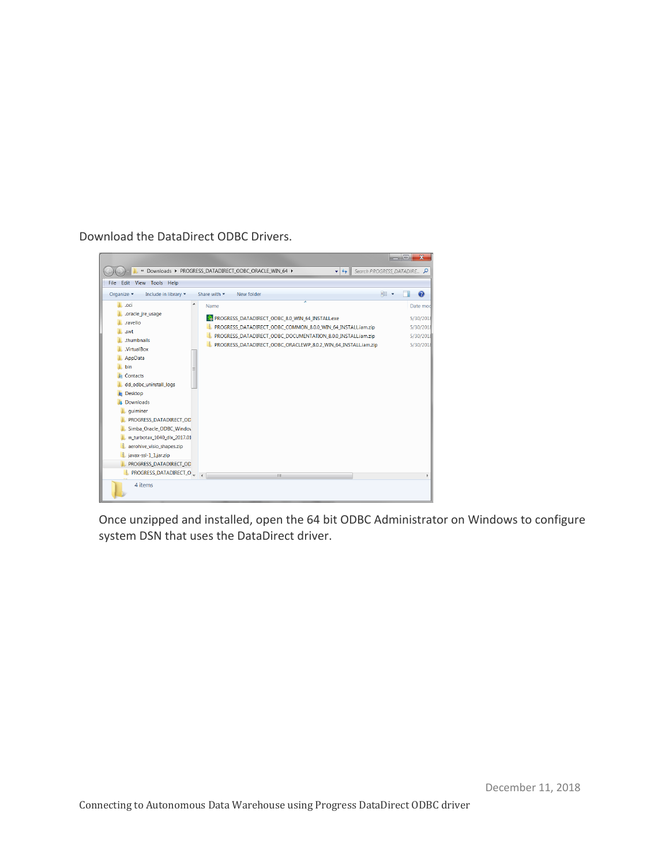Download the DataDirect ODBC Drivers.



 Once unzipped and installed, open the 64 bit ODBC Administrator on Windows to configure system DSN that uses the DataDirect driver.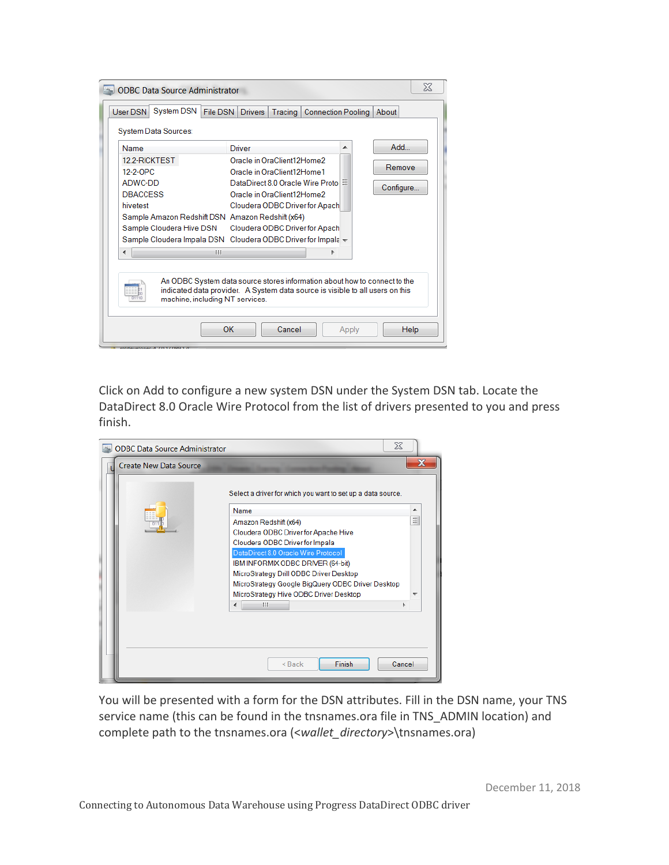| System Data Sources:<br><b>Name</b>                                                                                                                                                                                      |                                                                                                                                                            | Driver                                                                                                                                                                                         |  |   | Add                 |
|--------------------------------------------------------------------------------------------------------------------------------------------------------------------------------------------------------------------------|------------------------------------------------------------------------------------------------------------------------------------------------------------|------------------------------------------------------------------------------------------------------------------------------------------------------------------------------------------------|--|---|---------------------|
| 12.2-RICKTEST<br>12-2-OPC<br>ADWC-DD<br><b>DBACCESS</b><br>hivetest<br>Sample Amazon Redshift DSN Amazon Redshift (x64)<br>Sample Cloudera Hive DSN<br>Sample Cloudera Impala DSN Cloudera ODBC Driver for Impala +<br>∢ | Ш                                                                                                                                                          | Oracle in OraClient12Home2<br>Oracle in OraClient12Home1<br>DataDirect 8.0 Oracle Wire Proto<br>Oracle in OraClient12Home2<br>Cloudera ODBC Driver for Apach<br>Cloudera ODBC Driver for Apach |  | Ξ | Remove<br>Configure |
|                                                                                                                                                                                                                          | An ODBC System data source stores information about how to connect to the<br>indicated data provider. A System data source is visible to all users on this |                                                                                                                                                                                                |  |   |                     |

 Click on Add to configure a new system DSN under the System DSN tab. Locate the DataDirect 8.0 Oracle Wire Protocol from the list of drivers presented to you and press finish.

| <b>ODBC Data Source Administrator</b> | $\Sigma$                                                                 |   |
|---------------------------------------|--------------------------------------------------------------------------|---|
| <b>Create New Data Source</b>         |                                                                          |   |
|                                       | Select a driver for which you want to set up a data source.              |   |
|                                       | Name                                                                     |   |
|                                       | Amazon Redshift (x64)                                                    | ョ |
|                                       | Cloudera ODBC Driver for Apache Hive                                     |   |
|                                       | Cloudera ODBC Driver for Impala                                          |   |
|                                       | DataDirect 8.0 Oracle Wire Protocol<br>IBM INFORMIX ODBC DRIVER (64-bit) |   |
|                                       | MicroStrategy Drill ODBC Driver Desktop                                  |   |
|                                       | MicroStrategy Google BigQuery ODBC Driver Desktop                        |   |
|                                       | MicroStrategy Hive ODBC Driver Desktop                                   |   |
|                                       | Ш                                                                        |   |
|                                       |                                                                          |   |
|                                       |                                                                          |   |
|                                       | $Back$<br>Finish<br>Cancel                                               |   |

 You will be presented with a form for the DSN attributes. Fill in the DSN name, your TNS service name (this can be found in the tnsnames.ora file in TNS\_ADMIN location) and complete path to the tnsnames.ora (<*wallet\_directory*>\tnsnames.ora)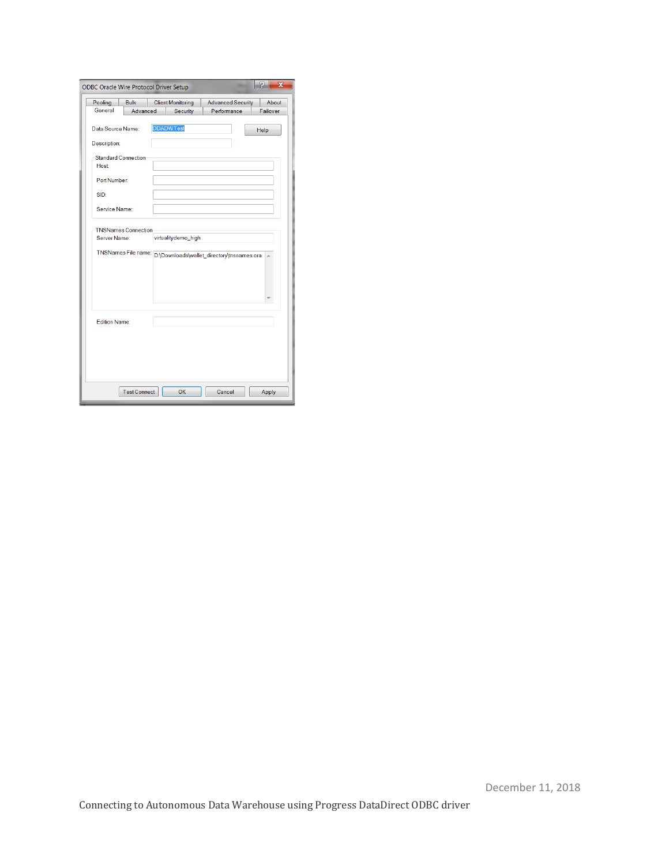|                                                                   | <b>ODBC Oracle Wire Protocol Driver Setup</b> |  |                                             |                                                                | X                 |
|-------------------------------------------------------------------|-----------------------------------------------|--|---------------------------------------------|----------------------------------------------------------------|-------------------|
| Pooling<br>General                                                | <b>Bulk</b><br>Advanced                       |  | <b>Client Monitoring</b><br><b>Security</b> | <b>Advanced Security</b><br>Performance                        | About<br>Failover |
| Data Source Name:                                                 |                                               |  | <b>DDADWTest</b>                            |                                                                | Help              |
| Description:                                                      |                                               |  |                                             |                                                                |                   |
| <b>Standard Connection</b>                                        |                                               |  |                                             |                                                                |                   |
| Host                                                              |                                               |  |                                             |                                                                |                   |
| Port Number:                                                      |                                               |  |                                             |                                                                |                   |
| SID:                                                              |                                               |  |                                             |                                                                |                   |
|                                                                   |                                               |  |                                             |                                                                |                   |
| Service Name:                                                     |                                               |  |                                             |                                                                |                   |
| <b>TNSNames Connection</b><br>virtualitydemo_high<br>Server Name: |                                               |  |                                             |                                                                |                   |
|                                                                   |                                               |  |                                             | TNSNames File name: D:\Downloads\wallet_directory\tnsnames.ora |                   |
|                                                                   |                                               |  |                                             |                                                                |                   |
|                                                                   |                                               |  |                                             |                                                                |                   |
| Edition Name:                                                     |                                               |  |                                             |                                                                |                   |
|                                                                   |                                               |  |                                             |                                                                |                   |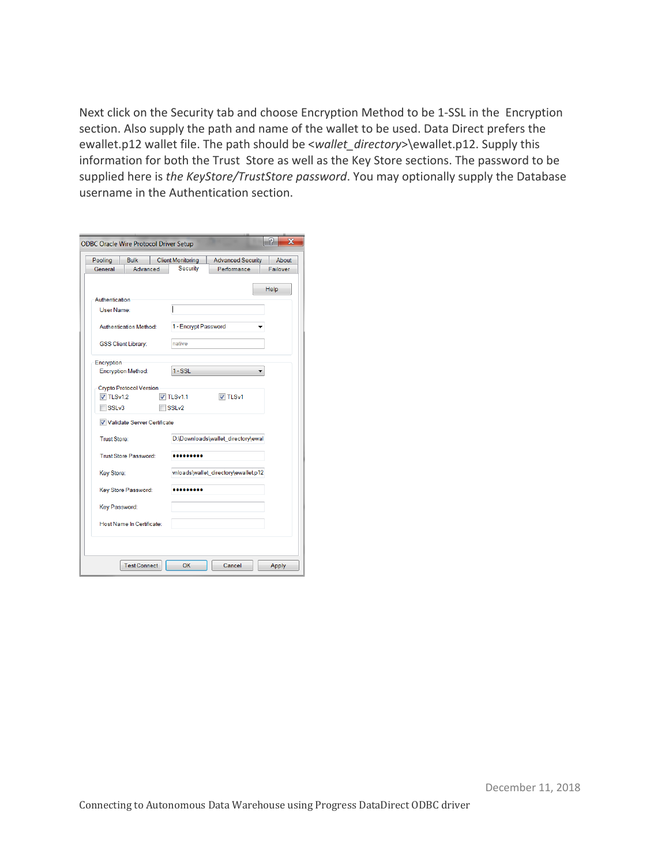Next click on the Security tab and choose Encryption Method to be 1-SSL in the Encryption section. Also supply the path and name of the wallet to be used. Data Direct prefers the ewallet.p12 wallet file. The path should be <*wallet\_directory*>\ewallet.p12. Supply this information for both the Trust Store as well as the Key Store sections. The password to be supplied here is *the KeyStore/TrustStore password*. You may optionally supply the Database username in the Authentication section.

| <b>ODBC Oracle Wire Protocol Driver Setup</b>                                                                                    | $\overline{\mathbf{x}}$ |
|----------------------------------------------------------------------------------------------------------------------------------|-------------------------|
| Pooling<br><b>Bulk</b><br><b>Client Monitoring</b><br><b>Advanced Security</b><br>Security<br>Advanced<br>Performance<br>General | About<br>Failover       |
| Help<br>Authentication<br>User Name:<br>Authentication Method:<br>1 - Encrypt Password                                           |                         |
| native<br><b>GSS Client Library:</b>                                                                                             |                         |
| Encryption<br>$1 - SSL$<br><b>Encryption Method:</b>                                                                             |                         |
| <b>Crypto Protocol Version</b><br>$\sqrt{7}$ TLSv1.2<br>$\overline{V}$ TLSv1.1<br>V TLSv1<br>SSLv3<br>SSLv2                      |                         |
| Validate Server Certificate<br>D:\Downloads\wallet_directory\ewal<br>Trust Store:                                                |                         |
| <b>Trust Store Password:</b>                                                                                                     |                         |
| vnloads\wallet_directory\ewallet.p12<br>Key Store:                                                                               |                         |
| Key Store Password:<br><br>Key Password:                                                                                         |                         |
| Host Name In Certificate:                                                                                                        |                         |
| OK<br><b>Test Connect</b><br>Cancel                                                                                              | Apply                   |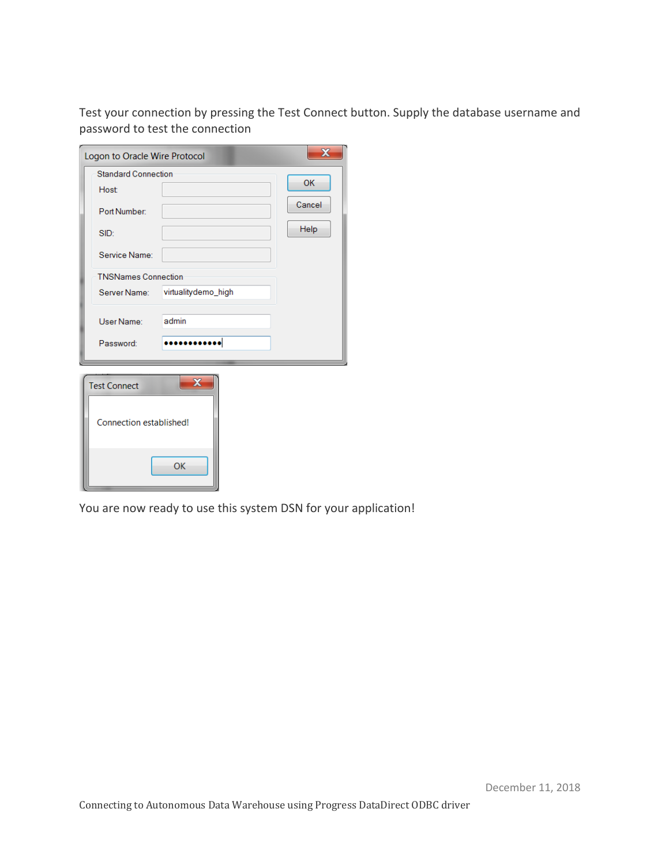Test your connection by pressing the Test Connect button. Supply the database username and password to test the connection

| Logon to Oracle Wire Protocol |                         | $\mathbf x$ |  |  |  |
|-------------------------------|-------------------------|-------------|--|--|--|
| <b>Standard Connection</b>    |                         | OK          |  |  |  |
| <b>Host</b>                   |                         |             |  |  |  |
| Port Number:                  |                         | Cancel      |  |  |  |
| SID:                          |                         | Help        |  |  |  |
| Service Name:                 |                         |             |  |  |  |
| <b>TNSNames Connection</b>    |                         |             |  |  |  |
| Server Name:                  | virtualitydemo_high     |             |  |  |  |
| User Name:                    | admin                   |             |  |  |  |
| Password:                     |                         |             |  |  |  |
| <b>Test Connect</b>           | $\overline{\mathbf{x}}$ |             |  |  |  |
| Connection established!       |                         |             |  |  |  |
|                               | OK                      |             |  |  |  |

You are now ready to use this system DSN for your application!